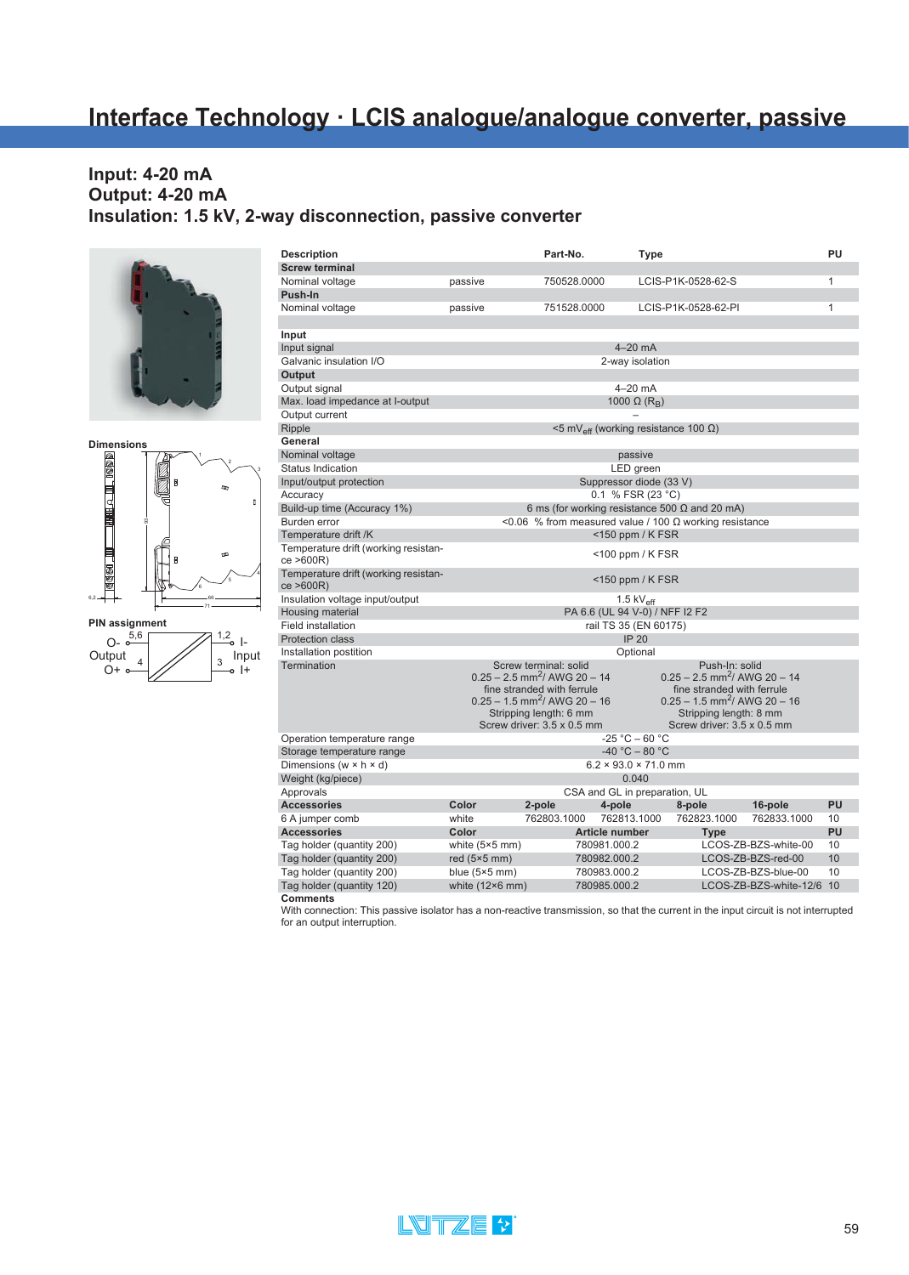# **Interface Technology · LCIS analogue/analogue converter, passive**

#### **Input: 4-20 mA Output: 4-20 mA Insulation: 1.5 kV, 2-way disconnection, passive converter**







| <b>Description</b>                                |                        | Part-No.                                                                                                                                                                                                |                                  | Type                                                          |                                                                                                      |                                                                                          | PU           |
|---------------------------------------------------|------------------------|---------------------------------------------------------------------------------------------------------------------------------------------------------------------------------------------------------|----------------------------------|---------------------------------------------------------------|------------------------------------------------------------------------------------------------------|------------------------------------------------------------------------------------------|--------------|
| <b>Screw terminal</b>                             |                        |                                                                                                                                                                                                         |                                  |                                                               |                                                                                                      |                                                                                          |              |
| Nominal voltage                                   | passive                | 750528.0000                                                                                                                                                                                             |                                  | LCIS-P1K-0528-62-S                                            |                                                                                                      |                                                                                          | 1            |
| Push-In                                           |                        |                                                                                                                                                                                                         |                                  |                                                               |                                                                                                      |                                                                                          |              |
| Nominal voltage                                   | passive                | 751528.0000                                                                                                                                                                                             |                                  | LCIS-P1K-0528-62-PI                                           |                                                                                                      |                                                                                          | $\mathbf{1}$ |
|                                                   |                        |                                                                                                                                                                                                         |                                  |                                                               |                                                                                                      |                                                                                          |              |
| Input                                             |                        |                                                                                                                                                                                                         |                                  |                                                               |                                                                                                      |                                                                                          |              |
| Input signal                                      |                        |                                                                                                                                                                                                         | $4-20$ mA                        |                                                               |                                                                                                      |                                                                                          |              |
| Galvanic insulation I/O                           |                        |                                                                                                                                                                                                         | 2-way isolation                  |                                                               |                                                                                                      |                                                                                          |              |
| Output                                            |                        |                                                                                                                                                                                                         |                                  |                                                               |                                                                                                      |                                                                                          |              |
| Output signal                                     |                        |                                                                                                                                                                                                         | $4-20$ mA                        |                                                               |                                                                                                      |                                                                                          |              |
| Max. load impedance at l-output                   |                        |                                                                                                                                                                                                         | 1000 $\Omega$ (R <sub>R</sub> )  |                                                               |                                                                                                      |                                                                                          |              |
| Output current                                    |                        |                                                                                                                                                                                                         |                                  |                                                               |                                                                                                      |                                                                                          |              |
| Ripple                                            |                        |                                                                                                                                                                                                         |                                  | $\leq$ 5 mV <sub>eff</sub> (working resistance 100 $\Omega$ ) |                                                                                                      |                                                                                          |              |
| General                                           |                        |                                                                                                                                                                                                         |                                  |                                                               |                                                                                                      |                                                                                          |              |
| Nominal voltage                                   |                        |                                                                                                                                                                                                         | passive                          |                                                               |                                                                                                      |                                                                                          |              |
| Status Indication                                 |                        |                                                                                                                                                                                                         | LED green                        |                                                               |                                                                                                      |                                                                                          |              |
| Input/output protection                           |                        |                                                                                                                                                                                                         |                                  | Suppressor diode (33 V)                                       |                                                                                                      |                                                                                          |              |
| Accuracy                                          |                        |                                                                                                                                                                                                         | 0.1 % FSR (23 °C)                |                                                               |                                                                                                      |                                                                                          |              |
| Build-up time (Accuracy 1%)                       |                        | 6 ms (for working resistance 500 $\Omega$ and 20 mA)                                                                                                                                                    |                                  |                                                               |                                                                                                      |                                                                                          |              |
| Burden error                                      |                        | <0.06 % from measured value / 100 Ω working resistance                                                                                                                                                  |                                  |                                                               |                                                                                                      |                                                                                          |              |
| Temperature drift /K                              |                        |                                                                                                                                                                                                         | $<$ 150 ppm / K FSR              |                                                               |                                                                                                      |                                                                                          |              |
| Temperature drift (working resistan-<br>ce >600R) |                        |                                                                                                                                                                                                         | $<$ 100 ppm / K FSR              |                                                               |                                                                                                      |                                                                                          |              |
| Temperature drift (working resistan-<br>ce >600R) |                        |                                                                                                                                                                                                         | $<$ 150 ppm / K FSR              |                                                               |                                                                                                      |                                                                                          |              |
| Insulation voltage input/output                   |                        |                                                                                                                                                                                                         | 1.5 $kV_{\text{eff}}$            |                                                               |                                                                                                      |                                                                                          |              |
| Housing material                                  |                        |                                                                                                                                                                                                         |                                  | PA 6.6 (UL 94 V-0) / NFF I2 F2                                |                                                                                                      |                                                                                          |              |
| <b>Field installation</b>                         |                        |                                                                                                                                                                                                         | rail TS 35 (EN 60175)            |                                                               |                                                                                                      |                                                                                          |              |
| <b>Protection class</b>                           |                        |                                                                                                                                                                                                         | <b>IP 20</b>                     |                                                               |                                                                                                      |                                                                                          |              |
| Installation postition                            |                        |                                                                                                                                                                                                         | Optional                         |                                                               |                                                                                                      |                                                                                          |              |
| Termination                                       |                        | Screw terminal: solid<br>$0.25 - 2.5$ mm <sup>2</sup> / AWG 20 - 14<br>fine stranded with ferrule<br>$0.25 - 1.5$ mm <sup>2</sup> / AWG 20 - 16<br>Stripping length: 6 mm<br>Screw driver: 3.5 x 0.5 mm |                                  |                                                               | Push-In: solid<br>fine stranded with ferrule<br>Stripping length: 8 mm<br>Screw driver: 3.5 x 0.5 mm | $0.25 - 2.5$ mm <sup>2</sup> / AWG 20 - 14<br>$0.25 - 1.5$ mm <sup>2</sup> / AWG 20 - 16 |              |
| Operation temperature range                       |                        |                                                                                                                                                                                                         | $-25 °C - 60 °C$                 |                                                               |                                                                                                      |                                                                                          |              |
| Storage temperature range                         |                        |                                                                                                                                                                                                         | $-40 °C - 80 °C$                 |                                                               |                                                                                                      |                                                                                          |              |
| Dimensions (w $\times$ h $\times$ d)              |                        |                                                                                                                                                                                                         | $6.2 \times 93.0 \times 71.0$ mm |                                                               |                                                                                                      |                                                                                          |              |
| Weight (kg/piece)                                 |                        |                                                                                                                                                                                                         | 0.040                            |                                                               |                                                                                                      |                                                                                          |              |
| Approvals                                         |                        |                                                                                                                                                                                                         |                                  | CSA and GL in preparation, UL                                 |                                                                                                      |                                                                                          |              |
| <b>Accessories</b>                                | Color                  | 2-pole                                                                                                                                                                                                  | 4-pole                           | 8-pole                                                        |                                                                                                      | 16-pole                                                                                  | PU           |
| 6 A jumper comb                                   | white                  | 762803.1000                                                                                                                                                                                             | 762813.1000                      |                                                               | 762823.1000                                                                                          | 762833.1000                                                                              | 10           |
| <b>Accessories</b>                                | Color                  |                                                                                                                                                                                                         | <b>Article number</b>            |                                                               | <b>Type</b>                                                                                          |                                                                                          | PU           |
| Tag holder (quantity 200)                         | white $(5×5$ mm)       |                                                                                                                                                                                                         | 780981.000.2                     |                                                               |                                                                                                      | LCOS-ZB-BZS-white-00                                                                     | 10           |
| Tag holder (quantity 200)                         | red $(5×5$ mm $)$      |                                                                                                                                                                                                         | 780982.000.2                     |                                                               |                                                                                                      | LCOS-ZB-BZS-red-00                                                                       | 10           |
| Tag holder (quantity 200)                         | blue $(5×5$ mm)        |                                                                                                                                                                                                         | 780983.000.2                     |                                                               |                                                                                                      | LCOS-ZB-BZS-blue-00                                                                      | 10           |
| Tag holder (quantity 120)                         | white $(12\times6$ mm) |                                                                                                                                                                                                         | 780985.000.2                     |                                                               |                                                                                                      | LCOS-ZB-BZS-white-12/6                                                                   | 10           |
|                                                   |                        |                                                                                                                                                                                                         |                                  |                                                               |                                                                                                      |                                                                                          |              |

**Comments** With connection: This passive isolator has a non-reactive transmission, so that the current in the input circuit is not interrupted for an output interruption.

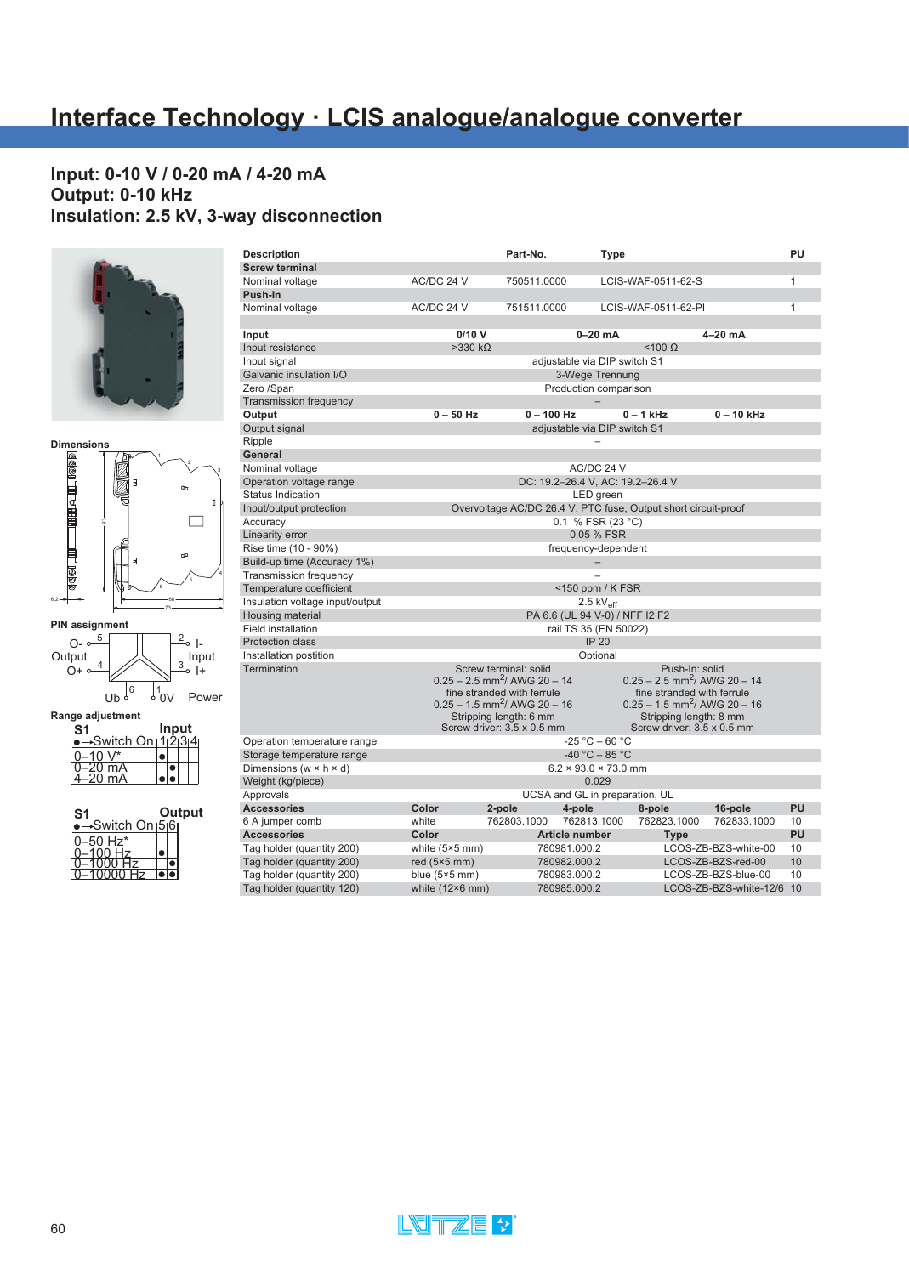# **Interface Technology · LCIS analogue/analogue converter**

#### **Input: 0-10 V / 0-20 mA / 4-20 mA Output: 0-10 kHz Insulation: 2.5 kV, 3-way disconnection**





| <b>PIN assignment</b> |   |    |                  |
|-----------------------|---|----|------------------|
| Output<br>$O + \circ$ |   | 2. | n<br>Input<br>I+ |
|                       | U |    | Power            |

**Range adjustment**

| S1                  |  | Input |  |
|---------------------|--|-------|--|
| Switch On   1 2 3 4 |  |       |  |
| በ–1በ                |  |       |  |
| 0 mA                |  |       |  |
| $\overline{\lim}$ A |  |       |  |

| S1              |  | Output |
|-----------------|--|--------|
| ⊷Switch On।5৷6৷ |  |        |
| 50 Hz*          |  |        |
|                 |  |        |
|                 |  |        |
|                 |  |        |

| <b>Description</b>                            |                        | Part-No.                                   | Type                                                    |                                                                |                        | PU           |
|-----------------------------------------------|------------------------|--------------------------------------------|---------------------------------------------------------|----------------------------------------------------------------|------------------------|--------------|
| <b>Screw terminal</b>                         |                        |                                            |                                                         |                                                                |                        |              |
| Nominal voltage                               | AC/DC 24 V             | 750511.0000                                |                                                         | LCIS-WAF-0511-62-S                                             |                        | $\mathbf{1}$ |
| Push-In                                       |                        |                                            |                                                         |                                                                |                        |              |
| Nominal voltage                               | AC/DC 24 V             | 751511.0000                                |                                                         | LCIS-WAF-0511-62-PI                                            |                        | $\mathbf{1}$ |
|                                               |                        |                                            |                                                         |                                                                |                        |              |
| Input                                         | 0/10V                  |                                            | $0-20$ mA                                               |                                                                | 4-20 mA                |              |
| Input resistance                              | $>330 k\Omega$         |                                            |                                                         | $<$ 100 $\Omega$                                               |                        |              |
| Input signal                                  |                        |                                            | adjustable via DIP switch S1                            |                                                                |                        |              |
| Galvanic insulation I/O                       |                        |                                            | 3-Wege Trennung                                         |                                                                |                        |              |
| Zero /Span                                    |                        |                                            | Production comparison                                   |                                                                |                        |              |
| <b>Transmission frequency</b>                 |                        |                                            |                                                         |                                                                |                        |              |
| Output                                        | $0 - 50$ Hz            | $0 - 100$ Hz                               |                                                         | $0 - 1$ kHz                                                    | $0 - 10$ kHz           |              |
| Output signal                                 |                        |                                            | adiustable via DIP switch S1                            |                                                                |                        |              |
| Ripple                                        |                        |                                            |                                                         |                                                                |                        |              |
| General                                       |                        |                                            |                                                         |                                                                |                        |              |
| Nominal voltage                               |                        |                                            | AC/DC 24 V                                              |                                                                |                        |              |
| Operation voltage range                       |                        |                                            | DC: 19.2-26.4 V, AC: 19.2-26.4 V                        |                                                                |                        |              |
| <b>Status Indication</b>                      |                        |                                            | LED green                                               |                                                                |                        |              |
| Input/output protection                       |                        |                                            |                                                         | Overvoltage AC/DC 26.4 V, PTC fuse, Output short circuit-proof |                        |              |
| Accuracy                                      |                        |                                            | 0.1 % FSR (23 °C)                                       |                                                                |                        |              |
| Linearity error                               |                        |                                            | 0.05 % FSR                                              |                                                                |                        |              |
| Rise time (10 - 90%)                          |                        |                                            | frequency-dependent                                     |                                                                |                        |              |
| Build-up time (Accuracy 1%)                   |                        |                                            |                                                         |                                                                |                        |              |
| <b>Transmission frequency</b>                 |                        |                                            |                                                         |                                                                |                        |              |
| Temperature coefficient                       |                        |                                            | $<$ 150 ppm / K FSR                                     |                                                                |                        |              |
| Insulation voltage input/output               |                        |                                            | 2.5 $kV_{\text{eff}}$                                   |                                                                |                        |              |
| Housing material<br><b>Field installation</b> |                        |                                            | PA 6.6 (UL 94 V-0) / NFF I2 F2<br>rail TS 35 (EN 50022) |                                                                |                        |              |
| <b>Protection class</b>                       |                        |                                            | <b>IP 20</b>                                            |                                                                |                        |              |
| Installation postition                        |                        |                                            | Optional                                                |                                                                |                        |              |
| Termination                                   |                        | Screw terminal: solid                      |                                                         | Push-In: solid                                                 |                        |              |
|                                               |                        | $0.25 - 2.5$ mm <sup>2</sup> / AWG 20 - 14 |                                                         | $0.25 - 2.5$ mm <sup>2</sup> / AWG 20 - 14                     |                        |              |
|                                               |                        | fine stranded with ferrule                 |                                                         | fine stranded with ferrule                                     |                        |              |
|                                               |                        | $0.25 - 1.5$ mm <sup>2</sup> / AWG 20 - 16 |                                                         | $0.25 - 1.5$ mm <sup>2</sup> / AWG 20 - 16                     |                        |              |
|                                               |                        | Stripping length: 6 mm                     |                                                         | Stripping length: 8 mm                                         |                        |              |
|                                               |                        | Screw driver: 3.5 x 0.5 mm                 |                                                         | Screw driver: 3.5 x 0.5 mm                                     |                        |              |
| Operation temperature range                   |                        |                                            | $-25 °C - 60 °C$                                        |                                                                |                        |              |
| Storage temperature range                     |                        |                                            | $-40 °C - 85 °C$                                        |                                                                |                        |              |
| Dimensions (w $\times$ h $\times$ d)          |                        |                                            | $6.2 \times 93.0 \times 73.0$ mm                        |                                                                |                        |              |
| Weight (kg/piece)                             |                        |                                            | 0.029                                                   |                                                                |                        |              |
| Approvals                                     |                        |                                            | UCSA and GL in preparation, UL                          |                                                                |                        |              |
| <b>Accessories</b>                            | Color                  | 2-pole                                     | 4-pole                                                  | 8-pole                                                         | 16-pole                | PU           |
| 6 A jumper comb                               | white                  | 762803.1000                                | 762813.1000                                             | 762823.1000                                                    | 762833.1000            | 10           |
| <b>Accessories</b>                            | Color                  |                                            | Article number                                          | <b>Type</b>                                                    |                        | PU           |
| Tag holder (quantity 200)                     | white $(5×5$ mm)       |                                            | 780981.000.2                                            |                                                                | LCOS-ZB-BZS-white-00   | 10           |
| Tag holder (quantity 200)                     | red $(5×5$ mm)         |                                            | 780982.000.2                                            |                                                                | LCOS-ZB-BZS-red-00     | 10           |
| Tag holder (quantity 200)                     | blue $(5×5$ mm)        |                                            | 780983.000.2                                            |                                                                | LCOS-ZB-BZS-blue-00    | 10           |
| Tag holder (quantity 120)                     | white $(12\times6$ mm) |                                            | 780985.000.2                                            |                                                                | LCOS-ZB-BZS-white-12/6 | 10           |

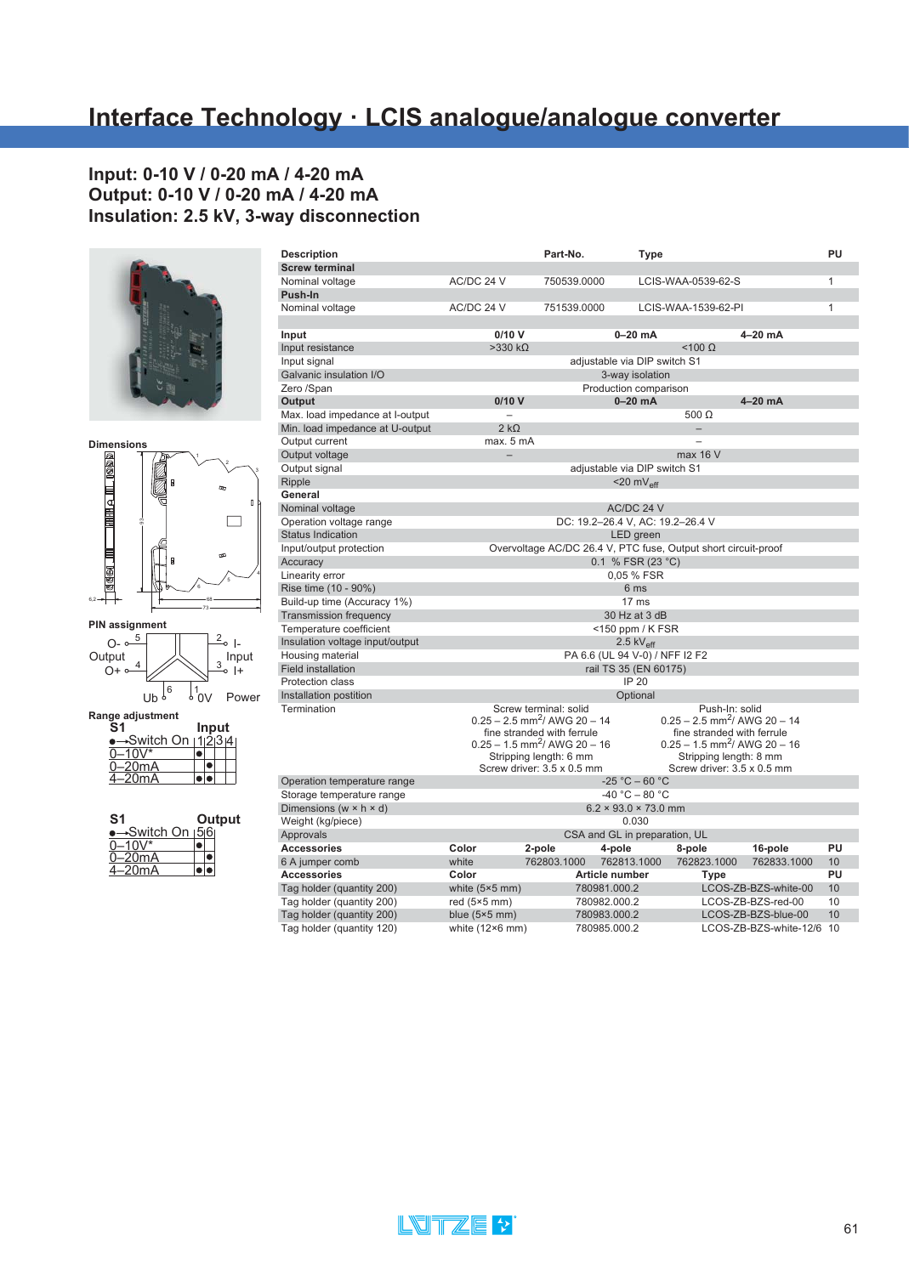#### **Input: 0-10 V / 0-20 mA / 4-20 mA Output: 0-10 V / 0-20 mA / 4-20 mA Insulation: 2.5 kV, 3-way disconnection**









|  | mput<br>→Switch On ⊦1ı2ı3ı4 |
|--|-----------------------------|

| S1                           |  | Output |
|------------------------------|--|--------|
| <del>-</del> Switch On ⊦5⊧6⊧ |  |        |
| $-10V^*$                     |  |        |
| -20mA                        |  |        |
| -20mA                        |  |        |

| <b>Description</b>                   |                          | Part-No.                                                       | <b>Type</b>                      |                                            |                        | PU |
|--------------------------------------|--------------------------|----------------------------------------------------------------|----------------------------------|--------------------------------------------|------------------------|----|
| <b>Screw terminal</b>                |                          |                                                                |                                  |                                            |                        |    |
| Nominal voltage                      | AC/DC 24 V               | 750539.0000                                                    | LCIS-WAA-0539-62-S               |                                            |                        | 1  |
| Push-In                              |                          |                                                                |                                  |                                            |                        |    |
| Nominal voltage                      | AC/DC 24 V               | 751539.0000                                                    |                                  | LCIS-WAA-1539-62-PI                        |                        | 1  |
|                                      |                          |                                                                |                                  |                                            |                        |    |
| Input                                | 0/10V                    |                                                                | $0-20$ mA                        |                                            | 4-20 mA                |    |
| Input resistance                     | $>330 k\Omega$           |                                                                |                                  | $<$ 100 $\Omega$                           |                        |    |
| Input signal                         |                          |                                                                | adjustable via DIP switch S1     |                                            |                        |    |
| Galvanic insulation I/O              |                          |                                                                | 3-way isolation                  |                                            |                        |    |
| Zero /Span                           |                          |                                                                | Production comparison            |                                            |                        |    |
| Output                               | 0/10V                    |                                                                | $0-20$ mA                        |                                            | $4-20$ mA              |    |
| Max. load impedance at I-output      | $\overline{\phantom{0}}$ |                                                                |                                  | 500 $\Omega$                               |                        |    |
| Min. load impedance at U-output      | $2 k\Omega$              |                                                                |                                  |                                            |                        |    |
| Output current                       | max. 5 mA                |                                                                |                                  |                                            |                        |    |
| Output voltage                       |                          |                                                                |                                  | max 16 V                                   |                        |    |
| Output signal                        |                          |                                                                | adjustable via DIP switch S1     |                                            |                        |    |
| Ripple                               |                          |                                                                | $<$ 20 m $V_{\text{eff}}$        |                                            |                        |    |
| General                              |                          |                                                                |                                  |                                            |                        |    |
| Nominal voltage                      |                          |                                                                | AC/DC 24 V                       |                                            |                        |    |
| Operation voltage range              |                          | DC: 19.2-26.4 V, AC: 19.2-26.4 V                               |                                  |                                            |                        |    |
| <b>Status Indication</b>             |                          |                                                                | LED green                        |                                            |                        |    |
| Input/output protection              |                          | Overvoltage AC/DC 26.4 V, PTC fuse, Output short circuit-proof |                                  |                                            |                        |    |
| Accuracy                             |                          |                                                                | 0.1 % FSR (23 °C)                |                                            |                        |    |
| Linearity error                      |                          |                                                                | 0,05 % FSR                       |                                            |                        |    |
| Rise time (10 - 90%)                 |                          |                                                                | 6 ms                             |                                            |                        |    |
| Build-up time (Accuracy 1%)          |                          |                                                                | 17 <sub>ms</sub>                 |                                            |                        |    |
| <b>Transmission frequency</b>        |                          |                                                                | 30 Hz at 3 dB                    |                                            |                        |    |
| Temperature coefficient              |                          |                                                                | <150 ppm / K FSR                 |                                            |                        |    |
| Insulation voltage input/output      |                          |                                                                | $2.5 \text{ kV}_{\text{eff}}$    |                                            |                        |    |
| Housing material                     |                          | PA 6.6 (UL 94 V-0) / NFF I2 F2                                 |                                  |                                            |                        |    |
| <b>Field installation</b>            |                          |                                                                | rail TS 35 (EN 60175)            |                                            |                        |    |
| Protection class                     |                          |                                                                | <b>IP 20</b>                     |                                            |                        |    |
| Installation postition               |                          |                                                                | Optional                         |                                            |                        |    |
| Termination                          |                          | Screw terminal: solid                                          |                                  | Push-In: solid                             |                        |    |
|                                      |                          | $0.25 - 2.5$ mm <sup>2</sup> / AWG 20 - 14                     |                                  | $0.25 - 2.5$ mm <sup>2</sup> / AWG 20 - 14 |                        |    |
|                                      |                          | fine stranded with ferrule                                     |                                  | fine stranded with ferrule                 |                        |    |
|                                      |                          | $0.25 - 1.5$ mm <sup>2</sup> / AWG 20 - 16                     |                                  | $0.25 - 1.5$ mm <sup>2</sup> / AWG 20 - 16 |                        |    |
|                                      |                          | Stripping length: 6 mm                                         |                                  | Stripping length: 8 mm                     |                        |    |
|                                      |                          | Screw driver: 3.5 x 0.5 mm                                     |                                  | Screw driver: 3.5 x 0.5 mm                 |                        |    |
| Operation temperature range          |                          |                                                                | $-25 °C - 60 °C$                 |                                            |                        |    |
| Storage temperature range            |                          |                                                                | $-40 °C - 80 °C$                 |                                            |                        |    |
| Dimensions (w $\times$ h $\times$ d) |                          |                                                                | $6.2 \times 93.0 \times 73.0$ mm |                                            |                        |    |
| Weight (kg/piece)                    |                          |                                                                | 0.030                            |                                            |                        |    |
| Approvals                            |                          | CSA and GL in preparation, UL                                  |                                  |                                            |                        |    |
| <b>Accessories</b>                   | Color                    | 2-pole<br>4-pole                                               |                                  | 8-pole                                     | 16-pole                | PU |
| 6 A jumper comb                      | white                    | 762803.1000                                                    | 762813.1000                      | 762823.1000                                | 762833.1000            | 10 |
| <b>Accessories</b>                   | Color                    | Article number                                                 |                                  | <b>Type</b>                                |                        | PU |
| Tag holder (quantity 200)            | white $(5×5$ mm)         | 780981.000.2                                                   |                                  |                                            | LCOS-ZB-BZS-white-00   | 10 |
| Tag holder (quantity 200)            | red $(5×5$ mm $)$        | 780982.000.2                                                   |                                  |                                            | LCOS-ZB-BZS-red-00     | 10 |
| Tag holder (quantity 200)            | blue $(5×5$ mm)          | 780983.000.2                                                   |                                  |                                            | LCOS-ZB-BZS-blue-00    | 10 |
| Tag holder (quantity 120)            | white (12×6 mm)          | 780985.000.2                                                   |                                  |                                            | LCOS-ZB-BZS-white-12/6 | 10 |

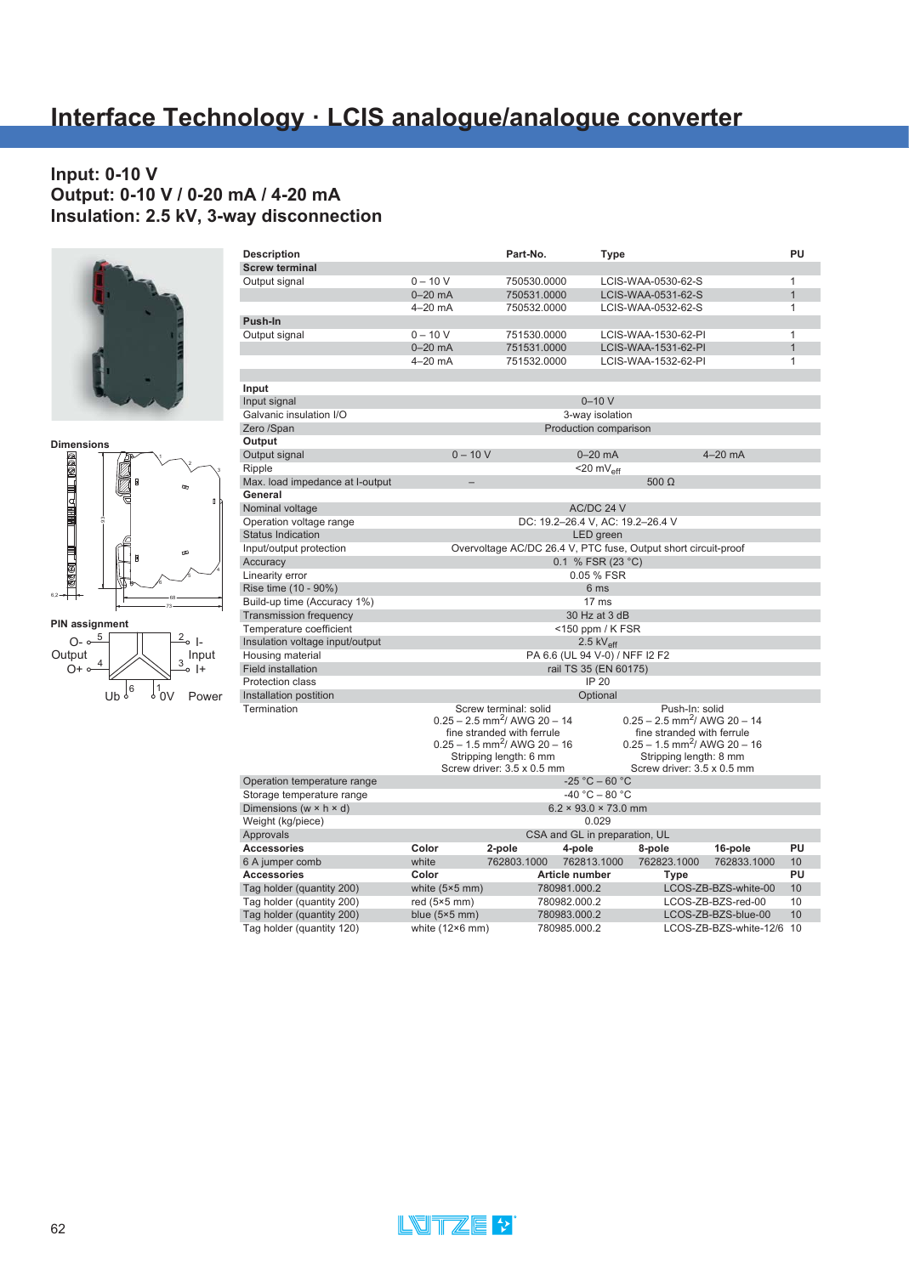### **Input: 0-10 V Output: 0-10 V / 0-20 mA / 4-20 mA Insulation: 2.5 kV, 3-way disconnection**







| <b>Description</b>                   |                        | Part-No.                                                            | Type                             |                                                              |                        | PU           |
|--------------------------------------|------------------------|---------------------------------------------------------------------|----------------------------------|--------------------------------------------------------------|------------------------|--------------|
| <b>Screw terminal</b>                |                        |                                                                     |                                  |                                                              |                        |              |
| Output signal                        | $0 - 10 V$             | 750530.0000                                                         |                                  | LCIS-WAA-0530-62-S                                           |                        | $\mathbf{1}$ |
|                                      | $0-20$ mA              | 750531.0000                                                         |                                  | LCIS-WAA-0531-62-S                                           |                        | $\mathbf{1}$ |
|                                      | $4-20$ mA              | 750532.0000                                                         |                                  | LCIS-WAA-0532-62-S                                           |                        | $\mathbf{1}$ |
| Push-In                              |                        |                                                                     |                                  |                                                              |                        |              |
| Output signal                        | $0 - 10 V$             | 751530.0000                                                         |                                  | LCIS-WAA-1530-62-PI                                          |                        | $\mathbf{1}$ |
|                                      | $0-20$ mA              | 751531.0000                                                         |                                  | LCIS-WAA-1531-62-PI                                          |                        | $\mathbf{1}$ |
|                                      | $4-20$ mA              | 751532.0000                                                         |                                  | LCIS-WAA-1532-62-PI                                          |                        | $\mathbf{1}$ |
| Input                                |                        |                                                                     |                                  |                                                              |                        |              |
| Input signal                         |                        |                                                                     | $0 - 10V$                        |                                                              |                        |              |
| Galvanic insulation I/O              |                        |                                                                     | 3-way isolation                  |                                                              |                        |              |
| Zero /Span                           |                        |                                                                     | Production comparison            |                                                              |                        |              |
| Output                               |                        |                                                                     |                                  |                                                              |                        |              |
| Output signal                        | $0 - 10 V$             |                                                                     | $0-20$ mA                        |                                                              | $4-20$ mA              |              |
| Ripple                               |                        |                                                                     | $<$ 20 mV <sub>eff</sub>         |                                                              |                        |              |
| Max. load impedance at I-output      |                        |                                                                     |                                  | $500 \Omega$                                                 |                        |              |
| General                              |                        |                                                                     |                                  |                                                              |                        |              |
| Nominal voltage                      |                        |                                                                     | AC/DC 24 V                       |                                                              |                        |              |
| Operation voltage range              |                        |                                                                     | DC: 19.2-26.4 V, AC: 19.2-26.4 V |                                                              |                        |              |
| <b>Status Indication</b>             |                        |                                                                     | LED green                        |                                                              |                        |              |
| Input/output protection              |                        | Overvoltage AC/DC 26.4 V, PTC fuse, Output short circuit-proof      |                                  |                                                              |                        |              |
| Accuracy                             |                        |                                                                     | 0.1 % FSR (23 °C)                |                                                              |                        |              |
| Linearity error                      |                        |                                                                     | 0.05 % FSR                       |                                                              |                        |              |
| Rise time (10 - 90%)                 |                        |                                                                     | 6 ms                             |                                                              |                        |              |
| Build-up time (Accuracy 1%)          |                        |                                                                     | 17 <sub>ms</sub>                 |                                                              |                        |              |
|                                      |                        |                                                                     | 30 Hz at 3 dB                    |                                                              |                        |              |
| <b>Transmission frequency</b>        |                        |                                                                     |                                  |                                                              |                        |              |
| Temperature coefficient              |                        |                                                                     | <150 ppm / K FSR                 |                                                              |                        |              |
| Insulation voltage input/output      |                        |                                                                     | 2.5 $kV_{\text{eff}}$            |                                                              |                        |              |
| Housing material                     |                        |                                                                     | PA 6.6 (UL 94 V-0) / NFF I2 F2   |                                                              |                        |              |
| Field installation                   |                        |                                                                     | rail TS 35 (EN 60175)            |                                                              |                        |              |
| Protection class                     |                        |                                                                     | <b>IP 20</b>                     |                                                              |                        |              |
| Installation postition               |                        |                                                                     | Optional                         |                                                              |                        |              |
| Termination                          |                        | Screw terminal: solid<br>$0.25 - 2.5$ mm <sup>2</sup> / AWG 20 - 14 |                                  | Push-In: solid<br>$0.25 - 2.5$ mm <sup>2</sup> / AWG 20 - 14 |                        |              |
|                                      |                        | fine stranded with ferrule                                          |                                  | fine stranded with ferrule                                   |                        |              |
|                                      |                        | $0.25 - 1.5$ mm <sup>2</sup> / AWG 20 - 16                          |                                  | $0.25 - 1.5$ mm <sup>2</sup> / AWG 20 - 16                   |                        |              |
|                                      |                        | Stripping length: 6 mm                                              |                                  | Stripping length: 8 mm                                       |                        |              |
|                                      |                        | Screw driver: 3.5 x 0.5 mm                                          |                                  | Screw driver: 3.5 x 0.5 mm                                   |                        |              |
| Operation temperature range          |                        |                                                                     | $-25 °C - 60 °C$                 |                                                              |                        |              |
| Storage temperature range            |                        |                                                                     | $-40 °C - 80 °C$                 |                                                              |                        |              |
| Dimensions (w $\times$ h $\times$ d) |                        |                                                                     | $6.2 \times 93.0 \times 73.0$ mm |                                                              |                        |              |
| Weight (kg/piece)                    |                        |                                                                     | 0.029                            |                                                              |                        |              |
| Approvals                            |                        |                                                                     | CSA and GL in preparation, UL    |                                                              |                        |              |
| <b>Accessories</b>                   | Color                  | 2-pole                                                              | 4-pole                           | 8-pole                                                       | 16-pole                | PU           |
| 6 A jumper comb                      | white                  | 762803.1000                                                         | 762813.1000                      | 762823.1000                                                  | 762833.1000            | 10           |
| <b>Accessories</b>                   | Color                  |                                                                     | Article number                   | Type                                                         |                        | PU           |
| Tag holder (quantity 200)            | white $(5×5$ mm)       |                                                                     | 780981.000.2                     |                                                              | LCOS-ZB-BZS-white-00   | 10           |
| Tag holder (quantity 200)            | red $(5×5$ mm)         |                                                                     | 780982.000.2                     |                                                              | LCOS-ZB-BZS-red-00     | 10           |
| Tag holder (quantity 200)            | blue $(5×5$ mm)        |                                                                     | 780983.000.2                     |                                                              | LCOS-ZB-BZS-blue-00    | 10           |
| Tag holder (quantity 120)            | white $(12\times6$ mm) |                                                                     | 780985.000.2                     |                                                              | LCOS-ZB-BZS-white-12/6 | 10           |

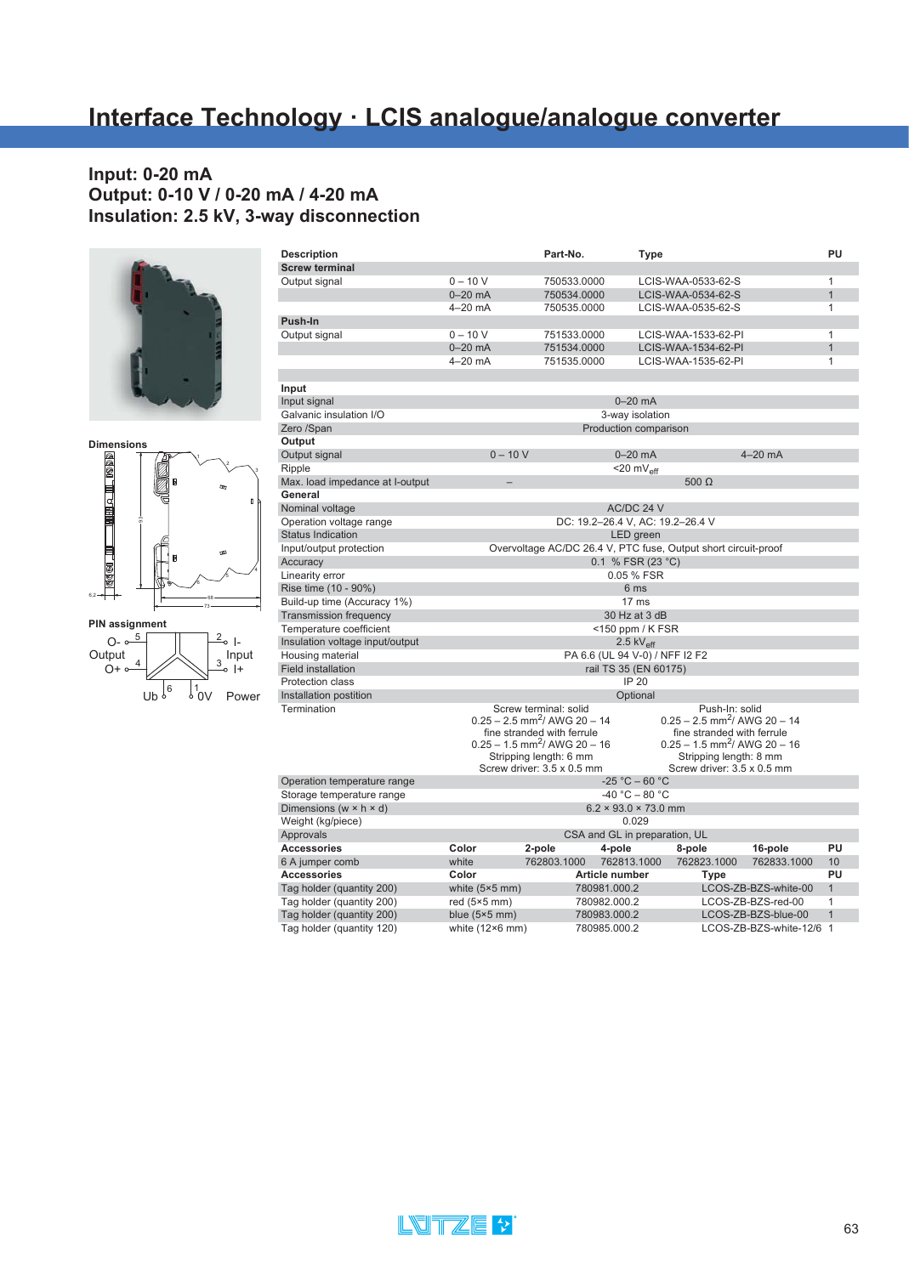# **Interface Technology · LCIS analogue/analogue converter**

#### **Input: 0-20 mA Output: 0-10 V / 0-20 mA / 4-20 mA Insulation: 2.5 kV, 3-way disconnection**





 $\sqrt{\frac{6}{10}}$ 

<sup>6</sup> <sup>1</sup>0V Power

| <b>Description</b>                   |                        | Part-No.                                                       | Type                             |                                            |                        | PU             |
|--------------------------------------|------------------------|----------------------------------------------------------------|----------------------------------|--------------------------------------------|------------------------|----------------|
| <b>Screw terminal</b>                |                        |                                                                |                                  |                                            |                        |                |
| Output signal                        | $0 - 10 V$             | 750533.0000                                                    |                                  | LCIS-WAA-0533-62-S                         |                        | $\mathbf{1}$   |
|                                      | $0-20$ mA              | 750534.0000                                                    |                                  | LCIS-WAA-0534-62-S                         |                        | $\overline{1}$ |
|                                      | $4 - 20$ mA            | 750535.0000                                                    |                                  | LCIS-WAA-0535-62-S                         |                        | $\mathbf{1}$   |
| Push-In                              |                        |                                                                |                                  |                                            |                        |                |
| Output signal                        | $0 - 10 V$             | 751533.0000                                                    |                                  | LCIS-WAA-1533-62-PI                        |                        | $\mathbf{1}$   |
|                                      | $0-20$ mA              | 751534.0000                                                    |                                  | LCIS-WAA-1534-62-PI                        |                        | $\mathbf{1}$   |
|                                      | $4-20$ mA              | 751535.0000                                                    |                                  | LCIS-WAA-1535-62-PI                        |                        | $\mathbf{1}$   |
|                                      |                        |                                                                |                                  |                                            |                        |                |
| Input                                |                        |                                                                |                                  |                                            |                        |                |
| Input signal                         |                        |                                                                | $0 - 20$ mA                      |                                            |                        |                |
| Galvanic insulation I/O              |                        |                                                                | 3-way isolation                  |                                            |                        |                |
| Zero /Span                           |                        |                                                                | Production comparison            |                                            |                        |                |
| Output                               |                        |                                                                |                                  |                                            |                        |                |
| Output signal                        | $0 - 10V$              |                                                                | $0 - 20$ mA                      |                                            | $4-20$ mA              |                |
| Ripple                               |                        |                                                                | $<$ 20 m $V_{\text{eff}}$        |                                            |                        |                |
| Max. load impedance at I-output      | -                      |                                                                |                                  | 500 $\Omega$                               |                        |                |
| General                              |                        |                                                                |                                  |                                            |                        |                |
| Nominal voltage                      |                        |                                                                | AC/DC 24 V                       |                                            |                        |                |
| Operation voltage range              |                        |                                                                | DC: 19.2-26.4 V, AC: 19.2-26.4 V |                                            |                        |                |
| <b>Status Indication</b>             |                        |                                                                | LED green                        |                                            |                        |                |
| Input/output protection              |                        | Overvoltage AC/DC 26.4 V, PTC fuse, Output short circuit-proof |                                  |                                            |                        |                |
| Accuracy                             |                        |                                                                | 0.1 % FSR (23 °C)                |                                            |                        |                |
| Linearity error                      |                        |                                                                | 0.05 % FSR                       |                                            |                        |                |
| Rise time (10 - 90%)                 |                        |                                                                | 6 ms                             |                                            |                        |                |
| Build-up time (Accuracy 1%)          |                        |                                                                | 17 <sub>ms</sub>                 |                                            |                        |                |
| <b>Transmission frequency</b>        |                        |                                                                | 30 Hz at 3 dB                    |                                            |                        |                |
| Temperature coefficient              |                        |                                                                | $<$ 150 ppm / K FSR              |                                            |                        |                |
| Insulation voltage input/output      |                        |                                                                | $2.5$ kV <sub>eff</sub>          |                                            |                        |                |
| Housing material                     |                        |                                                                | PA 6.6 (UL 94 V-0) / NFF I2 F2   |                                            |                        |                |
| <b>Field installation</b>            |                        |                                                                | rail TS 35 (EN 60175)            |                                            |                        |                |
| <b>Protection class</b>              |                        |                                                                | <b>IP 20</b>                     |                                            |                        |                |
| Installation postition               |                        |                                                                | Optional                         |                                            |                        |                |
| Termination                          |                        | Screw terminal: solid                                          |                                  | Push-In: solid                             |                        |                |
|                                      |                        | $0.25 - 2.5$ mm <sup>2</sup> / AWG 20 - 14                     |                                  | $0.25 - 2.5$ mm <sup>2</sup> / AWG 20 - 14 |                        |                |
|                                      |                        | fine stranded with ferrule                                     |                                  | fine stranded with ferrule                 |                        |                |
|                                      |                        | $0.25 - 1.5$ mm <sup>2</sup> / AWG 20 - 16                     |                                  | $0.25 - 1.5$ mm <sup>2</sup> / AWG 20 - 16 |                        |                |
|                                      |                        | Stripping length: 6 mm                                         |                                  | Stripping length: 8 mm                     |                        |                |
|                                      |                        | Screw driver: 3.5 x 0.5 mm                                     |                                  | Screw driver: 3.5 x 0.5 mm                 |                        |                |
| Operation temperature range          |                        |                                                                | $-25 °C - 60 °C$                 |                                            |                        |                |
| Storage temperature range            |                        |                                                                | $-40 °C - 80 °C$                 |                                            |                        |                |
| Dimensions (w $\times$ h $\times$ d) |                        |                                                                | $6.2 \times 93.0 \times 73.0$ mm |                                            |                        |                |
| Weight (kg/piece)                    |                        |                                                                | 0.029                            |                                            |                        |                |
| Approvals                            |                        |                                                                | CSA and GL in preparation, UL    |                                            |                        |                |
| <b>Accessories</b>                   | Color                  | 2-pole                                                         | 4-pole                           | 8-pole                                     | 16-pole                | PU             |
| 6 A jumper comb                      | white                  | 762803.1000                                                    | 762813.1000                      | 762823.1000                                | 762833.1000            | 10             |
| <b>Accessories</b>                   | Color                  |                                                                | Article number                   | <b>Type</b>                                |                        | PU             |
| Tag holder (quantity 200)            | white $(5×5$ mm)       |                                                                | 780981.000.2                     |                                            | LCOS-ZB-BZS-white-00   | $\mathbf{1}$   |
| Tag holder (quantity 200)            | red $(5×5$ mm $)$      |                                                                | 780982.000.2                     |                                            | LCOS-ZB-BZS-red-00     | $\mathbf{1}$   |
| Tag holder (quantity 200)            | blue $(5×5$ mm)        |                                                                | 780983.000.2                     |                                            | LCOS-ZB-BZS-blue-00    | $\mathbf{1}$   |
| Tag holder (quantity 120)            | white $(12\times6$ mm) |                                                                | 780985.000.2                     |                                            | LCOS-ZB-BZS-white-12/6 | $\overline{1}$ |

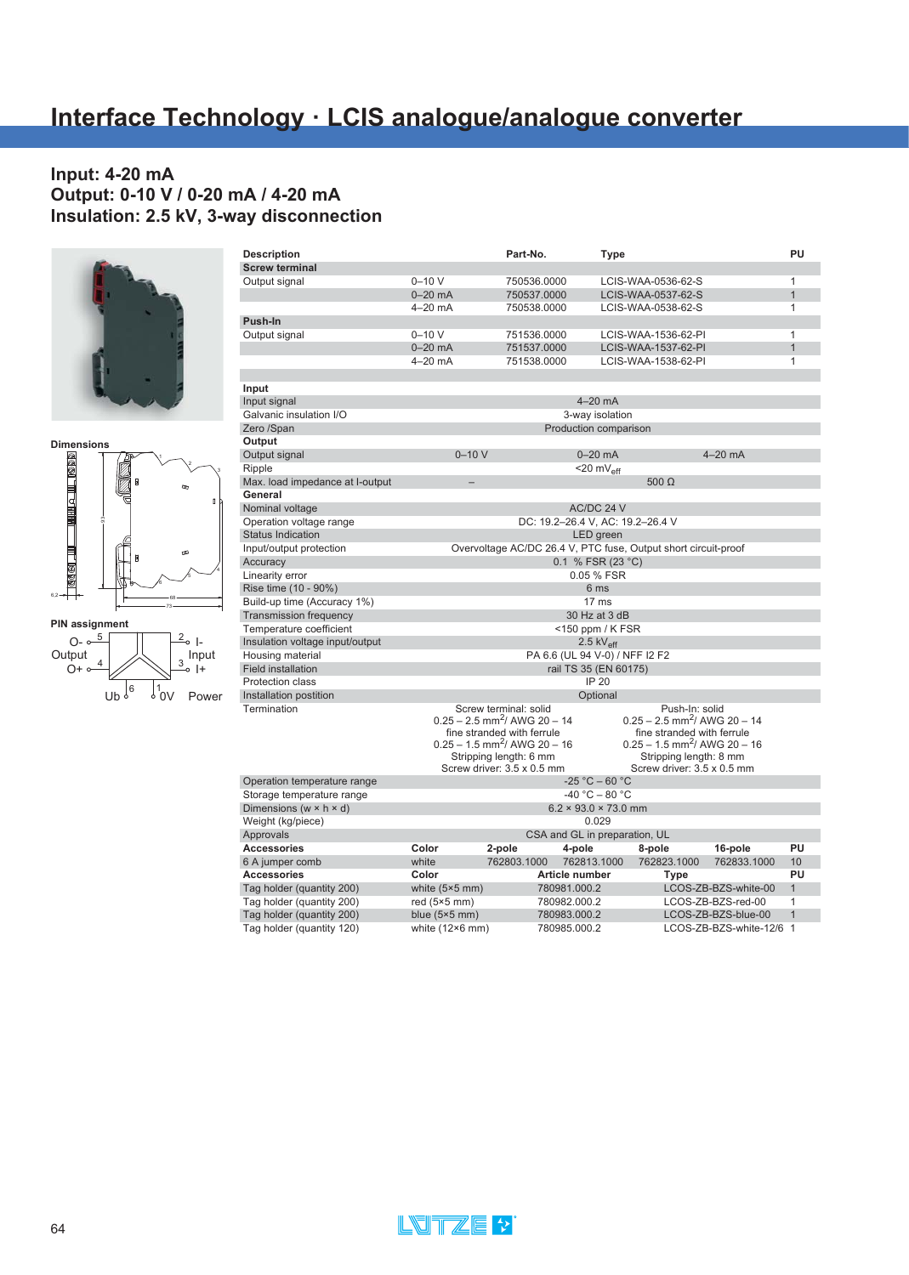### **Input: 4-20 mA Output: 0-10 V / 0-20 mA / 4-20 mA Insulation: 2.5 kV, 3-way disconnection**







| <b>Description</b>                         |                        | Part-No.                                             | Type                             |                                                                |                        | PU             |
|--------------------------------------------|------------------------|------------------------------------------------------|----------------------------------|----------------------------------------------------------------|------------------------|----------------|
| <b>Screw terminal</b>                      |                        |                                                      |                                  |                                                                |                        |                |
| Output signal                              | $0 - 10V$              | 750536.0000                                          |                                  | LCIS-WAA-0536-62-S                                             |                        | 1              |
|                                            | $0-20$ mA              | 750537.0000                                          |                                  | LCIS-WAA-0537-62-S                                             |                        | $\overline{1}$ |
|                                            | $4-20$ mA              | 750538.0000                                          |                                  | LCIS-WAA-0538-62-S                                             |                        | 1              |
| Push-In                                    |                        |                                                      |                                  |                                                                |                        |                |
| Output signal                              | $0 - 10 V$             | 751536.0000                                          |                                  | LCIS-WAA-1536-62-PI                                            |                        | $\mathbf{1}$   |
|                                            | $0-20$ mA              | 751537.0000                                          |                                  | LCIS-WAA-1537-62-PI                                            |                        | $\mathbf{1}$   |
|                                            | $4-20$ mA              | 751538.0000                                          |                                  | LCIS-WAA-1538-62-PI                                            |                        | $\mathbf{1}$   |
| Input                                      |                        |                                                      |                                  |                                                                |                        |                |
| Input signal                               |                        |                                                      | $4-20$ mA                        |                                                                |                        |                |
| Galvanic insulation I/O                    |                        |                                                      | 3-way isolation                  |                                                                |                        |                |
| Zero /Span                                 |                        |                                                      | Production comparison            |                                                                |                        |                |
| Output                                     |                        |                                                      |                                  |                                                                |                        |                |
| Output signal                              | $0 - 10V$              |                                                      | $0-20$ mA                        |                                                                | $4-20$ mA              |                |
|                                            |                        |                                                      |                                  |                                                                |                        |                |
| Ripple                                     |                        |                                                      | $<$ 20 mV <sub>eff</sub>         | 500 $\Omega$                                                   |                        |                |
| Max. load impedance at l-output<br>General |                        |                                                      |                                  |                                                                |                        |                |
|                                            |                        |                                                      |                                  |                                                                |                        |                |
| Nominal voltage                            |                        |                                                      | AC/DC 24 V                       |                                                                |                        |                |
| Operation voltage range                    |                        |                                                      | DC: 19.2-26.4 V, AC: 19.2-26.4 V |                                                                |                        |                |
| <b>Status Indication</b>                   |                        |                                                      | LED green                        |                                                                |                        |                |
| Input/output protection                    |                        |                                                      |                                  | Overvoltage AC/DC 26.4 V, PTC fuse, Output short circuit-proof |                        |                |
| Accuracy                                   |                        |                                                      | 0.1 % FSR (23 °C)                |                                                                |                        |                |
| Linearity error                            |                        |                                                      | 0.05 % FSR                       |                                                                |                        |                |
| Rise time (10 - 90%)                       |                        |                                                      | 6 ms                             |                                                                |                        |                |
| Build-up time (Accuracy 1%)                |                        |                                                      | 17 <sub>ms</sub>                 |                                                                |                        |                |
| <b>Transmission frequency</b>              |                        |                                                      | 30 Hz at 3 dB                    |                                                                |                        |                |
| Temperature coefficient                    |                        |                                                      | <150 ppm / K FSR                 |                                                                |                        |                |
| Insulation voltage input/output            |                        |                                                      | $2.5$ kV <sub>eff</sub>          |                                                                |                        |                |
| Housing material                           |                        |                                                      | PA 6.6 (UL 94 V-0) / NFF I2 F2   |                                                                |                        |                |
| <b>Field installation</b>                  |                        |                                                      | rail TS 35 (EN 60175)            |                                                                |                        |                |
| Protection class                           |                        |                                                      | <b>IP 20</b>                     |                                                                |                        |                |
| Installation postition                     |                        |                                                      | Optional                         |                                                                |                        |                |
| Termination                                |                        | Screw terminal: solid                                |                                  | Push-In: solid                                                 |                        |                |
|                                            |                        | $0.25 - 2.5$ mm <sup>2</sup> / AWG 20 - 14           |                                  | $0.25 - 2.5$ mm <sup>2</sup> / AWG 20 - 14                     |                        |                |
|                                            |                        | fine stranded with ferrule                           |                                  | fine stranded with ferrule                                     |                        |                |
|                                            |                        | $0.25 - 1.5$ mm <sup>2</sup> / AWG 20 - 16           |                                  | $0.25 - 1.5$ mm <sup>2</sup> / AWG 20 - 16                     |                        |                |
|                                            |                        | Stripping length: 6 mm<br>Screw driver: 3.5 x 0.5 mm |                                  | Stripping length: 8 mm<br>Screw driver: 3.5 x 0.5 mm           |                        |                |
|                                            |                        |                                                      | $-25 °C - 60 °C$                 |                                                                |                        |                |
| Operation temperature range                |                        |                                                      | $-40 °C - 80 °C$                 |                                                                |                        |                |
| Storage temperature range                  |                        |                                                      |                                  |                                                                |                        |                |
| Dimensions ( $w \times h \times d$ )       |                        |                                                      | $6.2 \times 93.0 \times 73.0$ mm |                                                                |                        |                |
| Weight (kg/piece)                          |                        |                                                      | 0.029                            |                                                                |                        |                |
| Approvals                                  |                        |                                                      | CSA and GL in preparation, UL    |                                                                |                        | PU             |
| <b>Accessories</b>                         | Color                  | 2-pole                                               | 4-pole                           | 8-pole                                                         | 16-pole                |                |
| 6 A jumper comb                            | white                  | 762803.1000                                          | 762813.1000                      | 762823.1000                                                    | 762833.1000            | 10             |
| <b>Accessories</b>                         | Color                  |                                                      | Article number                   | <b>Type</b>                                                    |                        | PU             |
| Tag holder (quantity 200)                  | white $(5×5$ mm)       |                                                      | 780981.000.2                     |                                                                | LCOS-ZB-BZS-white-00   | $\mathbf{1}$   |
| Tag holder (quantity 200)                  | red $(5×5$ mm)         |                                                      | 780982.000.2                     |                                                                | LCOS-ZB-BZS-red-00     | 1              |
| Tag holder (quantity 200)                  | blue $(5×5$ mm)        |                                                      | 780983.000.2                     |                                                                | LCOS-ZB-BZS-blue-00    | $\mathbf{1}$   |
| Tag holder (quantity 120)                  | white $(12\times6$ mm) |                                                      | 780985.000.2                     |                                                                | LCOS-ZB-BZS-white-12/6 | $\overline{1}$ |

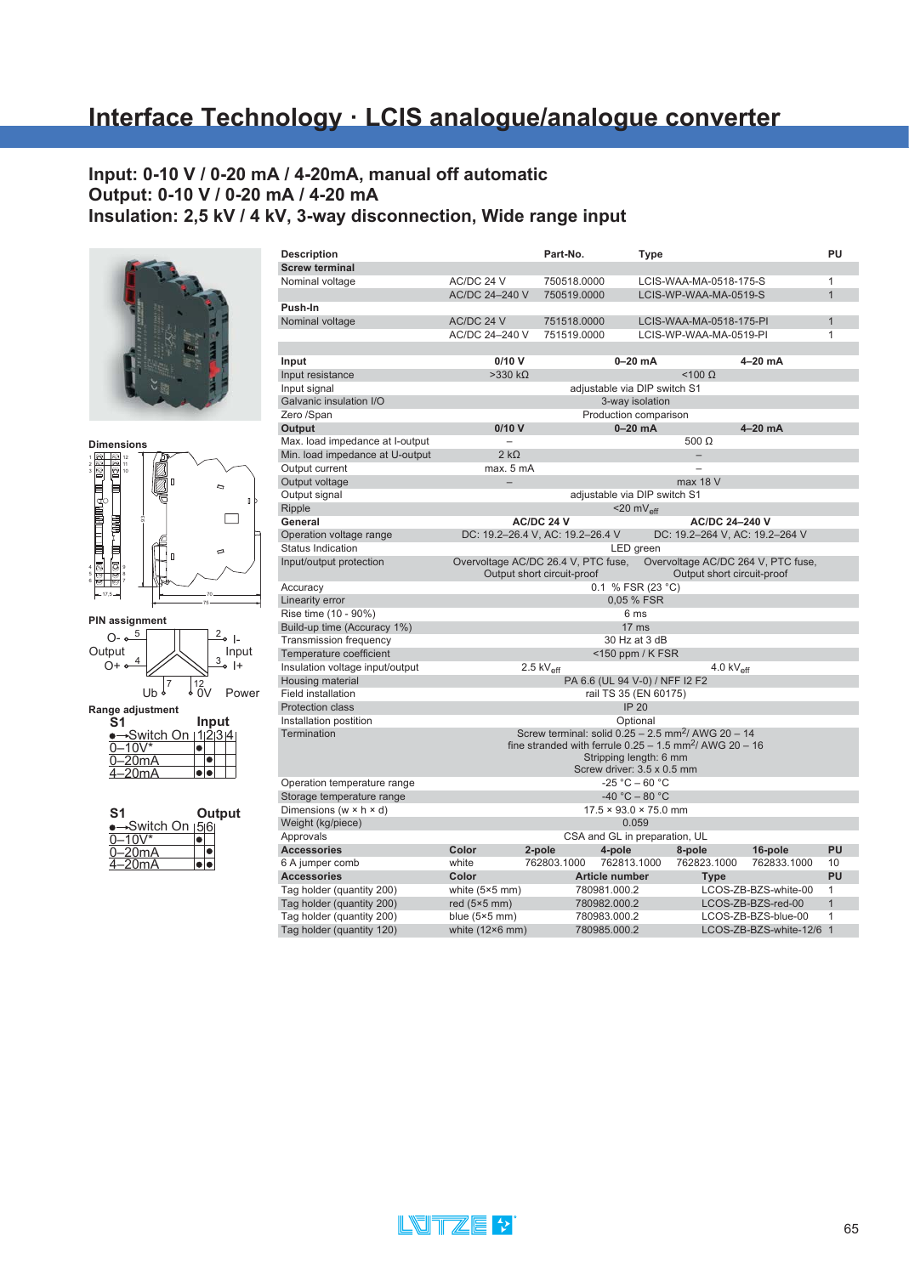# **Interface Technology · LCIS analogue/analogue converter**

### **Input: 0-10 V / 0-20 mA / 4-20mA, manual off automatic Output: 0-10 V / 0-20 mA / 4-20 mA Insulation: 2,5 kV / 4 kV, 3-way disconnection, Wide range input**





**Range adjustment**

| S1                  | Input |  |
|---------------------|-------|--|
| Switch On   1 2 3 4 |       |  |
| -10V*               |       |  |
| –20mA               |       |  |
| -20mA               |       |  |

| S1                           |  | Output |
|------------------------------|--|--------|
| <del>-</del> Switch On ∣5∣6∣ |  |        |
| -10V*                        |  |        |
| –20mA                        |  |        |
| -20mA                        |  |        |

| <b>Description</b>                   |                                     | Part-No.                                                              | Type                              |                                |                                    | PU             |
|--------------------------------------|-------------------------------------|-----------------------------------------------------------------------|-----------------------------------|--------------------------------|------------------------------------|----------------|
| <b>Screw terminal</b>                |                                     |                                                                       |                                   |                                |                                    |                |
| Nominal voltage                      | AC/DC 24 V                          | 750518.0000                                                           |                                   | LCIS-WAA-MA-0518-175-S         |                                    | $\mathbf{1}$   |
|                                      | AC/DC 24-240 V                      | 750519.0000                                                           |                                   | LCIS-WP-WAA-MA-0519-S          |                                    | $\mathbf{1}$   |
| Push-In                              |                                     |                                                                       |                                   |                                |                                    |                |
| Nominal voltage                      | AC/DC 24 V                          | 751518.0000                                                           |                                   | LCIS-WAA-MA-0518-175-PI        |                                    | $\mathbf{1}$   |
|                                      | AC/DC 24-240 V                      | 751519.0000                                                           |                                   | LCIS-WP-WAA-MA-0519-PI         |                                    | 1              |
|                                      |                                     |                                                                       |                                   |                                |                                    |                |
| Input                                | 0/10V                               |                                                                       | $0-20$ mA                         |                                | 4–20 mA                            |                |
| Input resistance                     | $>330 k\Omega$                      |                                                                       |                                   | $<$ 100 $\Omega$               |                                    |                |
| Input signal                         |                                     |                                                                       | adjustable via DIP switch S1      |                                |                                    |                |
| Galvanic insulation I/O              |                                     |                                                                       | 3-way isolation                   |                                |                                    |                |
| Zero /Span                           |                                     |                                                                       | Production comparison             |                                |                                    |                |
| Output                               | $0/10$ V                            |                                                                       | $0-20$ mA                         |                                | $4-20$ mA                          |                |
| Max. load impedance at I-output      |                                     |                                                                       |                                   | 500 $\Omega$                   |                                    |                |
| Min. load impedance at U-output      | $2 k\Omega$                         |                                                                       |                                   |                                |                                    |                |
| Output current                       | max. 5 mA                           |                                                                       |                                   |                                |                                    |                |
| Output voltage                       | $\equiv$                            |                                                                       |                                   | max 18 V                       |                                    |                |
| Output signal                        |                                     |                                                                       | adjustable via DIP switch S1      |                                |                                    |                |
| Ripple                               |                                     |                                                                       | $<$ 20 m $V_{\text{eff}}$         |                                |                                    |                |
| General                              |                                     | AC/DC 24 V                                                            |                                   | AC/DC 24-240 V                 |                                    |                |
| Operation voltage range              |                                     | DC: 19.2-26.4 V, AC: 19.2-26.4 V                                      |                                   | DC: 19.2-264 V, AC: 19.2-264 V |                                    |                |
| <b>Status Indication</b>             |                                     |                                                                       | LED green                         |                                |                                    |                |
| Input/output protection              | Overvoltage AC/DC 26.4 V, PTC fuse, |                                                                       |                                   |                                | Overvoltage AC/DC 264 V, PTC fuse, |                |
|                                      |                                     | Output short circuit-proof                                            |                                   | Output short circuit-proof     |                                    |                |
| Accuracy                             |                                     |                                                                       | 0.1 % FSR (23 °C)                 |                                |                                    |                |
| Linearity error                      |                                     |                                                                       | 0,05 % FSR                        |                                |                                    |                |
| Rise time (10 - 90%)                 |                                     |                                                                       | 6 ms                              |                                |                                    |                |
| Build-up time (Accuracy 1%)          |                                     |                                                                       | 17 <sub>ms</sub>                  |                                |                                    |                |
| <b>Transmission frequency</b>        |                                     |                                                                       | 30 Hz at 3 dB                     |                                |                                    |                |
| Temperature coefficient              |                                     |                                                                       | <150 ppm / K FSR                  |                                |                                    |                |
| Insulation voltage input/output      |                                     | $2.5$ kV <sub>eff</sub>                                               |                                   | 4.0 $kV_{\text{eff}}$          |                                    |                |
| Housing material                     |                                     |                                                                       | PA 6.6 (UL 94 V-0) / NFF I2 F2    |                                |                                    |                |
| Field installation                   |                                     |                                                                       | rail TS 35 (EN 60175)             |                                |                                    |                |
| <b>Protection class</b>              |                                     |                                                                       | <b>IP 20</b>                      |                                |                                    |                |
| Installation postition               |                                     |                                                                       | Optional                          |                                |                                    |                |
| Termination                          |                                     | Screw terminal: solid $0.25 - 2.5$ mm <sup>2</sup> / AWG 20 - 14      |                                   |                                |                                    |                |
|                                      |                                     | fine stranded with ferrule $0.25 - 1.5$ mm <sup>2</sup> / AWG 20 - 16 |                                   |                                |                                    |                |
|                                      |                                     |                                                                       | Stripping length: 6 mm            |                                |                                    |                |
|                                      |                                     |                                                                       | Screw driver: 3.5 x 0.5 mm        |                                |                                    |                |
| Operation temperature range          |                                     |                                                                       | $-25 °C - 60 °C$                  |                                |                                    |                |
| Storage temperature range            |                                     |                                                                       | $-40 °C - 80 °C$                  |                                |                                    |                |
| Dimensions (w $\times$ h $\times$ d) |                                     |                                                                       | $17.5 \times 93.0 \times 75.0$ mm |                                |                                    |                |
| Weight (kg/piece)                    |                                     |                                                                       | 0.059                             |                                |                                    |                |
| Approvals                            |                                     |                                                                       | CSA and GL in preparation, UL     |                                |                                    |                |
| <b>Accessories</b>                   | Color                               | 2-pole                                                                | 4-pole                            | 8-pole                         | 16-pole                            | PU             |
| 6 A jumper comb                      | white                               | 762803.1000                                                           | 762813.1000                       | 762823.1000                    | 762833.1000                        | 10             |
| <b>Accessories</b>                   | Color                               |                                                                       | <b>Article number</b>             | <b>Type</b>                    |                                    | PU             |
| Tag holder (quantity 200)            | white $(5×5$ mm)                    | 780981.000.2                                                          |                                   |                                | LCOS-ZB-BZS-white-00               | $\mathbf{1}$   |
| Tag holder (quantity 200)            | red $(5×5$ mm $)$                   | 780982.000.2                                                          |                                   |                                | LCOS-ZB-BZS-red-00                 | $\mathbf{1}$   |
| Tag holder (quantity 200)            | blue $(5×5$ mm)                     | 780983.000.2                                                          |                                   |                                | LCOS-ZB-BZS-blue-00                | 1              |
| Tag holder (quantity 120)            | white $(12\times6$ mm)              | 780985.000.2                                                          |                                   |                                | LCOS-ZB-BZS-white-12/6             | $\overline{1}$ |

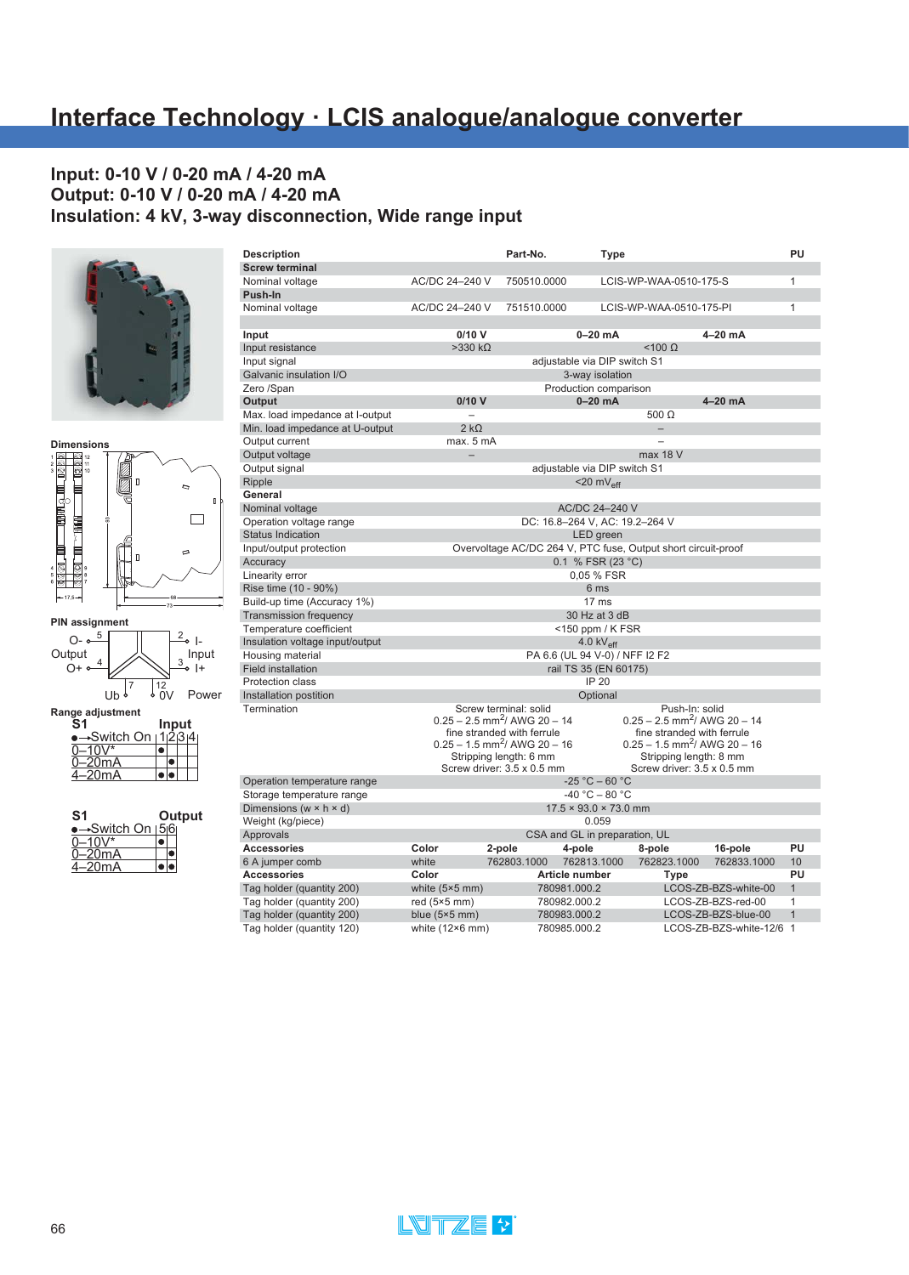#### **Input: 0-10 V / 0-20 mA / 4-20 mA Output: 0-10 V / 0-20 mA / 4-20 mA Insulation: 4 kV, 3-way disconnection, Wide range input**





**PIN assignment** 4  $\rightarrow$  3 5 | | | | | 2  $\int_{0}^{12}$  $\frac{2}{\pi}$  |-<br>| Input  $\overline{\bullet}$  |+  $O o-\frac{5}{2}$  $O+ \circ$  $UB<sup>7</sup>$ Output  $\frac{1}{4}$   $\frac{1}{2}$   $\frac{1}{3}$ Power

**Range adjustment**

| S <sub>1</sub>      |  | Input |         |
|---------------------|--|-------|---------|
| <b>∗Switch On</b> ⊢ |  |       | 1 2 3 4 |
| $0 - 10V^*$         |  |       |         |
| 0–20mA              |  |       |         |
| -20mA<br>⊿_         |  |       |         |

| S1                                       |  | Output |
|------------------------------------------|--|--------|
| →Switch On <sub>1</sub> 5 <sub>l</sub> 6 |  |        |
| $-10V^*$                                 |  |        |
| $-20mA$                                  |  |        |
| $4 - 20mA$                               |  |        |

| <b>Description</b>                   |                          | Part-No.                                                      | <b>Type</b>                                           |                                            |                        | PU             |
|--------------------------------------|--------------------------|---------------------------------------------------------------|-------------------------------------------------------|--------------------------------------------|------------------------|----------------|
| <b>Screw terminal</b>                |                          |                                                               |                                                       |                                            |                        |                |
| Nominal voltage                      | AC/DC 24-240 V           | 750510.0000                                                   |                                                       | LCIS-WP-WAA-0510-175-S                     |                        | $\mathbf{1}$   |
| Push-In                              |                          |                                                               |                                                       |                                            |                        |                |
| Nominal voltage                      | AC/DC 24-240 V           | 751510.0000                                                   |                                                       | LCIS-WP-WAA-0510-175-PI                    |                        | $\mathbf{1}$   |
| Input                                | 0/10V                    |                                                               | $0-20$ mA                                             |                                            | $4-20$ mA              |                |
| Input resistance                     | $>330 k\Omega$           |                                                               |                                                       | $<$ 100 $\Omega$                           |                        |                |
| Input signal                         |                          |                                                               | adjustable via DIP switch S1                          |                                            |                        |                |
| Galvanic insulation I/O              |                          |                                                               | 3-way isolation                                       |                                            |                        |                |
| Zero /Span                           |                          |                                                               | Production comparison                                 |                                            |                        |                |
| Output                               | 0/10V                    |                                                               | $0-20$ mA                                             |                                            | $4-20$ mA              |                |
| Max. load impedance at I-output      |                          |                                                               |                                                       | 500 $\Omega$                               |                        |                |
| Min. load impedance at U-output      | $2 k\Omega$              |                                                               |                                                       | $\equiv$                                   |                        |                |
| Output current                       | max. 5 mA                |                                                               |                                                       |                                            |                        |                |
| Output voltage                       | $\overline{\phantom{0}}$ |                                                               |                                                       | max 18 V                                   |                        |                |
| Output signal                        |                          |                                                               | adjustable via DIP switch S1                          |                                            |                        |                |
| Ripple                               |                          |                                                               | $<$ 20 mV <sub>eff</sub>                              |                                            |                        |                |
| General                              |                          |                                                               |                                                       |                                            |                        |                |
| Nominal voltage                      |                          |                                                               | AC/DC 24-240 V                                        |                                            |                        |                |
| Operation voltage range              |                          |                                                               | DC: 16.8-264 V, AC: 19.2-264 V                        |                                            |                        |                |
| <b>Status Indication</b>             |                          |                                                               | LED green                                             |                                            |                        |                |
| Input/output protection              |                          | Overvoltage AC/DC 264 V, PTC fuse, Output short circuit-proof |                                                       |                                            |                        |                |
| Accuracy                             |                          |                                                               | 0.1 % FSR (23 °C)                                     |                                            |                        |                |
| Linearity error                      |                          |                                                               | 0,05 % FSR                                            |                                            |                        |                |
| Rise time (10 - 90%)                 |                          |                                                               | 6 ms                                                  |                                            |                        |                |
| Build-up time (Accuracy 1%)          |                          |                                                               | 17 <sub>ms</sub>                                      |                                            |                        |                |
| <b>Transmission frequency</b>        |                          |                                                               | 30 Hz at 3 dB                                         |                                            |                        |                |
| Temperature coefficient              |                          |                                                               | $<$ 150 ppm / K FSR                                   |                                            |                        |                |
| Insulation voltage input/output      |                          |                                                               | 4.0 $kV_{\text{eff}}$                                 |                                            |                        |                |
| Housing material                     |                          |                                                               | PA 6.6 (UL 94 V-0) / NFF I2 F2                        |                                            |                        |                |
| <b>Field installation</b>            |                          |                                                               | rail TS 35 (EN 60175)                                 |                                            |                        |                |
| <b>Protection class</b>              |                          |                                                               | <b>IP 20</b>                                          |                                            |                        |                |
| Installation postition               |                          |                                                               | Optional                                              |                                            |                        |                |
| Termination                          |                          | Screw terminal: solid                                         |                                                       | Push-In: solid                             |                        |                |
|                                      |                          | $0.25 - 2.5$ mm <sup>2</sup> / AWG 20 - 14                    |                                                       | $0.25 - 2.5$ mm <sup>2</sup> / AWG 20 - 14 |                        |                |
|                                      |                          | fine stranded with ferrule                                    |                                                       | fine stranded with ferrule                 |                        |                |
|                                      |                          | $0.25 - 1.5$ mm <sup>2</sup> / AWG 20 - 16                    |                                                       | $0.25 - 1.5$ mm <sup>2</sup> / AWG 20 - 16 |                        |                |
|                                      |                          | Stripping length: 6 mm                                        |                                                       | Stripping length: 8 mm                     |                        |                |
|                                      |                          | Screw driver: 3.5 x 0.5 mm                                    | $-25 °C - 60 °C$                                      | Screw driver: 3.5 x 0.5 mm                 |                        |                |
| Operation temperature range          |                          |                                                               |                                                       |                                            |                        |                |
| Storage temperature range            |                          |                                                               | $-40 °C - 80 °C$<br>$17.5 \times 93.0 \times 73.0$ mm |                                            |                        |                |
| Dimensions (w $\times$ h $\times$ d) |                          |                                                               |                                                       |                                            |                        |                |
| Weight (kg/piece)                    |                          |                                                               | 0.059                                                 |                                            |                        |                |
| Approvals                            |                          |                                                               | CSA and GL in preparation, UL                         |                                            |                        |                |
| <b>Accessories</b>                   | Color                    | 2-pole                                                        | 4-pole                                                | 8-pole                                     | 16-pole                | PU             |
| 6 A jumper comb                      | white                    | 762803.1000                                                   | 762813.1000                                           | 762823.1000                                | 762833.1000            | 10             |
| <b>Accessories</b>                   | Color                    |                                                               | Article number                                        | <b>Type</b>                                |                        | PU             |
| Tag holder (quantity 200)            | white $(5×5$ mm)         | 780981.000.2                                                  |                                                       |                                            | LCOS-ZB-BZS-white-00   | $\mathbf{1}$   |
| Tag holder (quantity 200)            | red $(5×5$ mm $)$        | 780982.000.2                                                  |                                                       |                                            | LCOS-ZB-BZS-red-00     | 1              |
| Tag holder (quantity 200)            | blue $(5×5$ mm)          | 780983.000.2                                                  |                                                       |                                            | LCOS-ZB-BZS-blue-00    | $\overline{1}$ |
| Tag holder (quantity 120)            | white $(12\times6$ mm)   | 780985.000.2                                                  |                                                       |                                            | LCOS-ZB-BZS-white-12/6 | $\overline{1}$ |

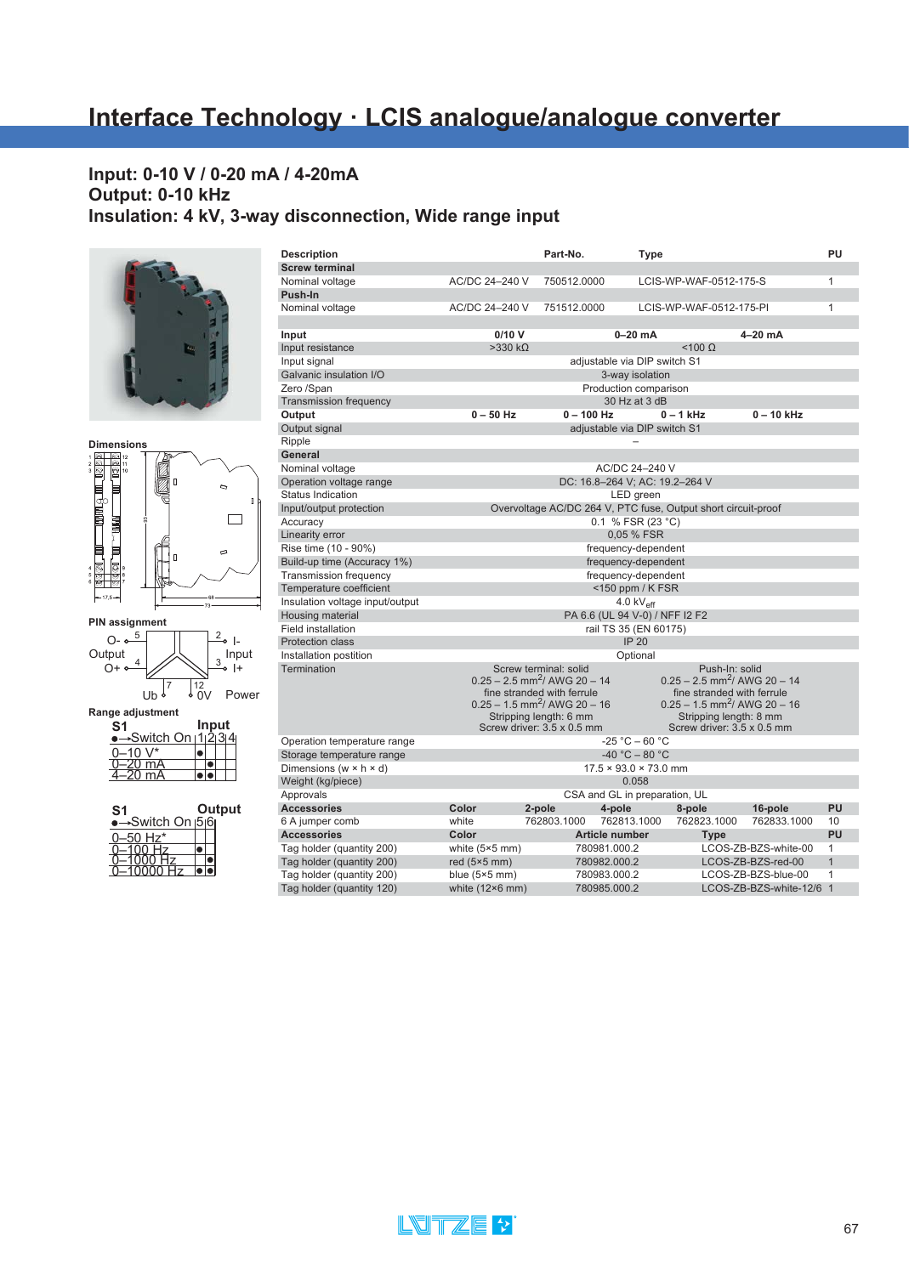## **Input: 0-10 V / 0-20 mA / 4-20mA Output: 0-10 kHz Insulation: 4 kV, 3-way disconnection, Wide range input**







**Range adjustment** 4 **S1 Input** Switch On 1 2 3

| $J*$<br>∙ 1∩۔          |  |  |
|------------------------|--|--|
| ∣mA                    |  |  |
| $\overline{\text{mA}}$ |  |  |
|                        |  |  |
|                        |  |  |

```
S1                  Output<br>●→Switch On |5|6|
0–50 Hz*
                      \frac{1}{\cdot}...<br>Hz
0–1000 Hz
0–10000 Hz
```

| <b>Description</b>                   |                                                               | Part-No.                                                             | <b>Type</b>                       |                                            |                            |                                            | PU             |
|--------------------------------------|---------------------------------------------------------------|----------------------------------------------------------------------|-----------------------------------|--------------------------------------------|----------------------------|--------------------------------------------|----------------|
| <b>Screw terminal</b>                |                                                               |                                                                      |                                   |                                            |                            |                                            |                |
| Nominal voltage                      | AC/DC 24-240 V                                                | 750512.0000                                                          |                                   | LCIS-WP-WAF-0512-175-S                     |                            |                                            | 1              |
| Push-In                              |                                                               |                                                                      |                                   |                                            |                            |                                            |                |
| Nominal voltage                      | AC/DC 24-240 V                                                | 751512.0000                                                          |                                   | LCIS-WP-WAF-0512-175-PI                    |                            |                                            | 1              |
|                                      |                                                               |                                                                      |                                   |                                            |                            |                                            |                |
| Input                                | 0/10V                                                         |                                                                      | $0-20$ mA                         |                                            |                            | 4-20 mA                                    |                |
| Input resistance                     | $>330 k\Omega$                                                |                                                                      |                                   | $<$ 100 $\Omega$                           |                            |                                            |                |
| Input signal                         |                                                               |                                                                      | adjustable via DIP switch S1      |                                            |                            |                                            |                |
| Galvanic insulation I/O              |                                                               |                                                                      | 3-way isolation                   |                                            |                            |                                            |                |
| Zero /Span                           |                                                               |                                                                      | Production comparison             |                                            |                            |                                            |                |
| <b>Transmission frequency</b>        |                                                               |                                                                      | 30 Hz at 3 dB                     |                                            |                            |                                            |                |
| Output                               | $0 - 50$ Hz                                                   | $0 - 100$ Hz                                                         |                                   | $0 - 1$ kHz                                |                            | $0 - 10$ kHz                               |                |
| Output signal                        |                                                               |                                                                      | adjustable via DIP switch S1      |                                            |                            |                                            |                |
| Ripple                               |                                                               |                                                                      |                                   |                                            |                            |                                            |                |
| General                              |                                                               |                                                                      |                                   |                                            |                            |                                            |                |
| Nominal voltage                      |                                                               |                                                                      | AC/DC 24-240 V                    |                                            |                            |                                            |                |
| Operation voltage range              |                                                               |                                                                      |                                   | DC: 16.8-264 V; AC: 19.2-264 V             |                            |                                            |                |
| <b>Status Indication</b>             |                                                               |                                                                      | LED green                         |                                            |                            |                                            |                |
| Input/output protection              | Overvoltage AC/DC 264 V, PTC fuse, Output short circuit-proof |                                                                      |                                   |                                            |                            |                                            |                |
| Accuracy                             | 0.1 % FSR (23 °C)                                             |                                                                      |                                   |                                            |                            |                                            |                |
| Linearity error                      | 0,05 % FSR                                                    |                                                                      |                                   |                                            |                            |                                            |                |
| Rise time (10 - 90%)                 | frequency-dependent                                           |                                                                      |                                   |                                            |                            |                                            |                |
| Build-up time (Accuracy 1%)          |                                                               |                                                                      | frequency-dependent               |                                            |                            |                                            |                |
| Transmission frequency               |                                                               |                                                                      | frequency-dependent               |                                            |                            |                                            |                |
| Temperature coefficient              |                                                               |                                                                      | $<$ 150 ppm / K FSR               |                                            |                            |                                            |                |
| Insulation voltage input/output      |                                                               |                                                                      | 4.0 $kV_{\text{eff}}$             |                                            |                            |                                            |                |
| Housing material                     |                                                               |                                                                      |                                   | PA 6.6 (UL 94 V-0) / NFF I2 F2             |                            |                                            |                |
| Field installation                   |                                                               |                                                                      | rail TS 35 (EN 60175)             |                                            |                            |                                            |                |
| <b>Protection class</b>              |                                                               |                                                                      | <b>IP 20</b>                      |                                            |                            |                                            |                |
| Installation postition               |                                                               |                                                                      | Optional                          |                                            |                            |                                            |                |
| Termination                          |                                                               | Screw terminal: solid                                                |                                   |                                            | Push-In: solid             |                                            |                |
|                                      |                                                               | $0.25 - 2.5$ mm <sup>2</sup> / AWG 20 - 14                           |                                   |                                            |                            | $0.25 - 2.5$ mm <sup>2</sup> / AWG 20 - 14 |                |
|                                      |                                                               | fine stranded with ferrule                                           |                                   |                                            | fine stranded with ferrule |                                            |                |
|                                      |                                                               | $0.25 - 1.5$ mm <sup>2</sup> / AWG 20 - 16<br>Stripping length: 6 mm |                                   | $0.25 - 1.5$ mm <sup>2</sup> / AWG 20 - 16 | Stripping length: 8 mm     |                                            |                |
|                                      |                                                               | Screw driver: 3.5 x 0.5 mm                                           |                                   | Screw driver: 3.5 x 0.5 mm                 |                            |                                            |                |
| Operation temperature range          |                                                               |                                                                      | $-25 °C - 60 °C$                  |                                            |                            |                                            |                |
| Storage temperature range            |                                                               |                                                                      | $-40 °C - 80 °C$                  |                                            |                            |                                            |                |
| Dimensions ( $w \times h \times d$ ) |                                                               |                                                                      | $17.5 \times 93.0 \times 73.0$ mm |                                            |                            |                                            |                |
| Weight (kg/piece)                    |                                                               |                                                                      | 0.058                             |                                            |                            |                                            |                |
| Approvals                            |                                                               |                                                                      |                                   | CSA and GL in preparation, UL              |                            |                                            |                |
| <b>Accessories</b>                   | Color                                                         | 2-pole                                                               | 4-pole                            | 8-pole                                     |                            | 16-pole                                    | PU             |
| 6 A jumper comb                      | white                                                         | 762803.1000                                                          | 762813.1000                       | 762823.1000                                |                            | 762833.1000                                | 10             |
| <b>Accessories</b>                   | Color                                                         |                                                                      | Article number                    |                                            | <b>Type</b>                |                                            | PU             |
| Tag holder (quantity 200)            | white $(5×5$ mm)                                              |                                                                      | 780981.000.2                      |                                            |                            | LCOS-ZB-BZS-white-00                       | $\mathbf{1}$   |
| Tag holder (quantity 200)            | red $(5×5$ mm $)$                                             |                                                                      | 780982.000.2                      |                                            |                            | LCOS-ZB-BZS-red-00                         | $\mathbf{1}$   |
| Tag holder (quantity 200)            | blue $(5×5$ mm)                                               |                                                                      | 780983.000.2                      |                                            |                            | LCOS-ZB-BZS-blue-00                        | 1              |
| Tag holder (quantity 120)            | white (12×6 mm)                                               |                                                                      | 780985.000.2                      |                                            |                            | LCOS-ZB-BZS-white-12/6                     | $\overline{1}$ |